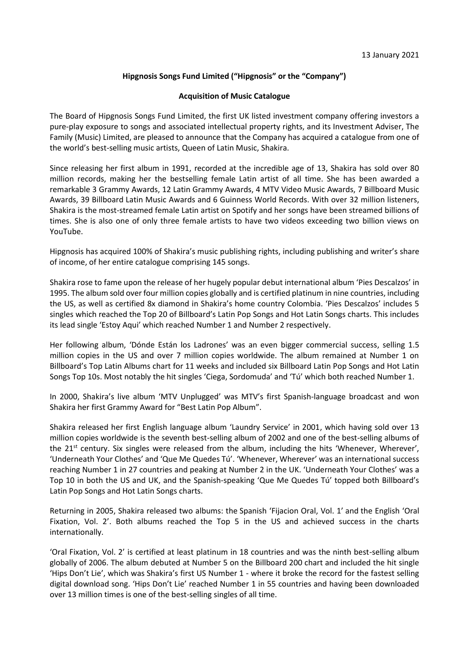# **Hipgnosis Songs Fund Limited ("Hipgnosis" or the "Company")**

### **Acquisition of Music Catalogue**

The Board of Hipgnosis Songs Fund Limited, the first UK listed investment company offering investors a pure-play exposure to songs and associated intellectual property rights, and its Investment Adviser, The Family (Music) Limited, are pleased to announce that the Company has acquired a catalogue from one of the world's best-selling music artists, Queen of Latin Music, Shakira.

Since releasing her first album in 1991, recorded at the incredible age of 13, Shakira has sold over 80 million records, making her the bestselling female Latin artist of all time. She has been awarded a remarkable 3 Grammy Awards, 12 Latin Grammy Awards, 4 MTV Video Music Awards, 7 Billboard Music Awards, 39 Billboard Latin Music Awards and 6 Guinness World Records. With over 32 million listeners, Shakira is the most-streamed female Latin artist on Spotify and her songs have been streamed billions of times. She is also one of only three female artists to have two videos exceeding two billion views on YouTube.

Hipgnosis has acquired 100% of Shakira's music publishing rights, including publishing and writer's share of income, of her entire catalogue comprising 145 songs.

Shakira rose to fame upon the release of her hugely popular debut international album 'Pies Descalzos' in 1995. The album sold over four million copies globally and is certified platinum in nine countries, including the US, as well as certified 8x diamond in Shakira's home country Colombia. 'Pies Descalzos' includes 5 singles which reached the Top 20 of Billboard's Latin Pop Songs and Hot Latin Songs charts. This includes its lead single 'Estoy Aqui' which reached Number 1 and Number 2 respectively.

Her following album, 'Dónde Están los Ladrones' was an even bigger commercial success, selling 1.5 million copies in the US and over 7 million copies worldwide. The album remained at Number 1 on Billboard's Top Latin Albums chart for 11 weeks and included six Billboard Latin Pop Songs and Hot Latin Songs Top 10s. Most notably the hit singles 'Ciega, Sordomuda' and 'Tú' which both reached Number 1.

In 2000, Shakira's live album 'MTV Unplugged' was MTV's first Spanish-language broadcast and won Shakira her first Grammy Award for "Best Latin Pop Album".

Shakira released her first English language album 'Laundry Service' in 2001, which having sold over 13 million copies worldwide is the seventh best-selling album of 2002 and one of the best-selling albums of the 21<sup>st</sup> century. Six singles were released from the album, including the hits 'Whenever, Wherever', 'Underneath Your Clothes' and 'Que Me Quedes Tú'. 'Whenever, Wherever' was an international success reaching Number 1 in 27 countries and peaking at Number 2 in the UK. 'Underneath Your Clothes' was a Top 10 in both the US and UK, and the Spanish-speaking 'Que Me Quedes Tú' topped both Billboard's Latin Pop Songs and Hot Latin Songs charts.

Returning in 2005, Shakira released two albums: the Spanish 'Fijacion Oral, Vol. 1' and the English 'Oral Fixation, Vol. 2'. Both albums reached the Top 5 in the US and achieved success in the charts internationally.

'Oral Fixation, Vol. 2' is certified at least platinum in 18 countries and was the ninth best-selling album globally of 2006. The album debuted at Number 5 on the Billboard 200 chart and included the hit single 'Hips Don't Lie', which was Shakira's first US Number 1 - where it broke the record for the fastest selling digital download song. 'Hips Don't Lie' reached Number 1 in 55 countries and having been downloaded over 13 million times is one of the best-selling singles of all time.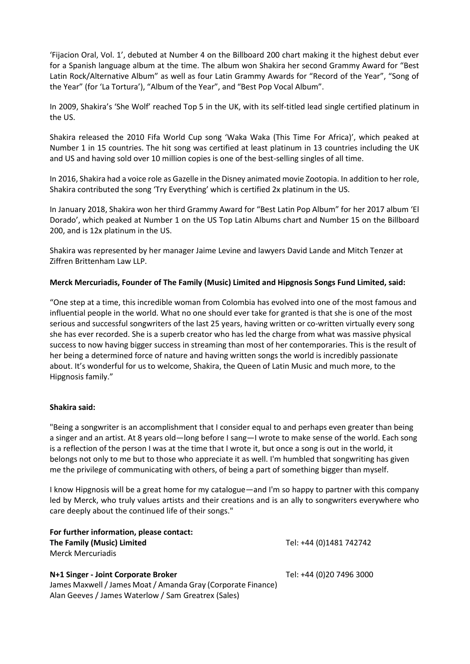'Fijacion Oral, Vol. 1', debuted at Number 4 on the Billboard 200 chart making it the highest debut ever for a Spanish language album at the time. The album won Shakira her second Grammy Award for "Best Latin Rock/Alternative Album" as well as four Latin Grammy Awards for "Record of the Year", "Song of the Year" (for 'La Tortura'), "Album of the Year", and "Best Pop Vocal Album".

In 2009, Shakira's 'She Wolf' reached Top 5 in the UK, with its self-titled lead single certified platinum in the US.

Shakira released the 2010 Fifa World Cup song 'Waka Waka (This Time For Africa)', which peaked at Number 1 in 15 countries. The hit song was certified at least platinum in 13 countries including the UK and US and having sold over 10 million copies is one of the best-selling singles of all time.

In 2016, Shakira had a voice role as Gazelle in the Disney animated movie Zootopia. In addition to her role, Shakira contributed the song 'Try Everything' which is certified 2x platinum in the US.

In January 2018, Shakira won her third Grammy Award for "Best Latin Pop Album" for her 2017 album 'El Dorado', which peaked at Number 1 on the US Top Latin Albums chart and Number 15 on the Billboard 200, and is 12x platinum in the US.

Shakira was represented by her manager Jaime Levine and lawyers David Lande and Mitch Tenzer at Ziffren Brittenham Law LLP.

## **Merck Mercuriadis, Founder of The Family (Music) Limited and Hipgnosis Songs Fund Limited, said:**

"One step at a time, this incredible woman from Colombia has evolved into one of the most famous and influential people in the world. What no one should ever take for granted is that she is one of the most serious and successful songwriters of the last 25 years, having written or co-written virtually every song she has ever recorded. She is a superb creator who has led the charge from what was massive physical success to now having bigger success in streaming than most of her contemporaries. This is the result of her being a determined force of nature and having written songs the world is incredibly passionate about. It's wonderful for us to welcome, Shakira, the Queen of Latin Music and much more, to the Hipgnosis family."

### **Shakira said:**

"Being a songwriter is an accomplishment that I consider equal to and perhaps even greater than being a singer and an artist. At 8 years old—long before I sang—I wrote to make sense of the world. Each song is a reflection of the person I was at the time that I wrote it, but once a song is out in the world, it belongs not only to me but to those who appreciate it as well. I'm humbled that songwriting has given me the privilege of communicating with others, of being a part of something bigger than myself.

I know Hipgnosis will be a great home for my catalogue—and I'm so happy to partner with this company led by Merck, who truly values artists and their creations and is an ally to songwriters everywhere who care deeply about the continued life of their songs."

| For further information, please contact: |                         |
|------------------------------------------|-------------------------|
| The Family (Music) Limited               | Tel: +44 (0)1481 742742 |
| Merck Mercuriadis                        |                         |

**N+1 Singer - Joint Corporate Broker** James Maxwell / James Moat / Amanda Gray (Corporate Finance) Alan Geeves / James Waterlow / Sam Greatrex (Sales)

Tel: +44 (0)20 7496 3000